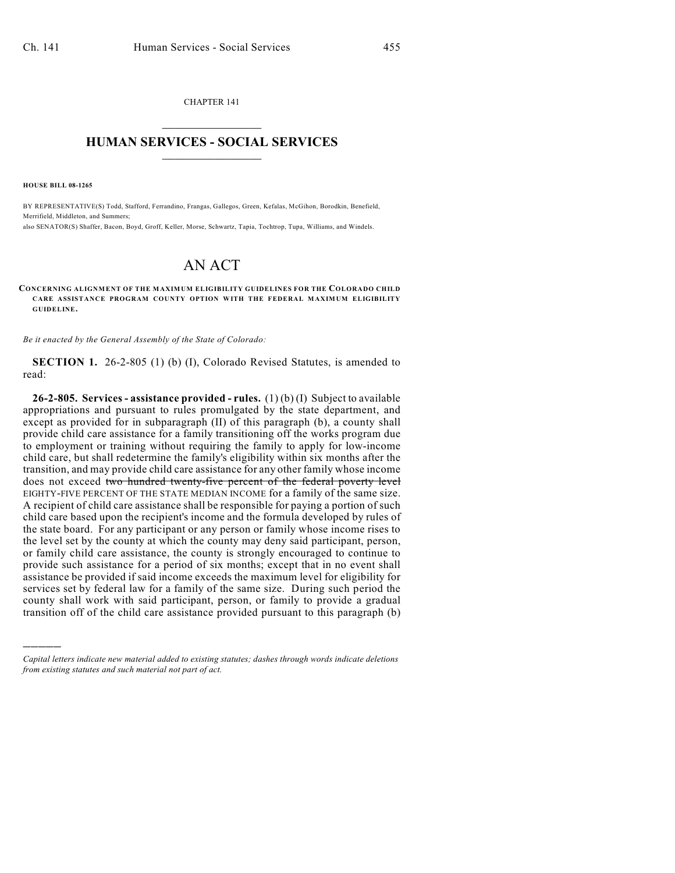CHAPTER 141  $\overline{\phantom{a}}$  . The set of the set of the set of the set of the set of the set of the set of the set of the set of the set of the set of the set of the set of the set of the set of the set of the set of the set of the set o

## **HUMAN SERVICES - SOCIAL SERVICES**  $\frac{1}{2}$  ,  $\frac{1}{2}$  ,  $\frac{1}{2}$  ,  $\frac{1}{2}$  ,  $\frac{1}{2}$  ,  $\frac{1}{2}$  ,  $\frac{1}{2}$

**HOUSE BILL 08-1265**

)))))

BY REPRESENTATIVE(S) Todd, Stafford, Ferrandino, Frangas, Gallegos, Green, Kefalas, McGihon, Borodkin, Benefield, Merrifield, Middleton, and Summers;

also SENATOR(S) Shaffer, Bacon, Boyd, Groff, Keller, Morse, Schwartz, Tapia, Tochtrop, Tupa, Williams, and Windels.

## AN ACT

## **CONCERNING ALIGNMENT OF THE MAXIMUM ELIGIBILITY GUIDELINES FOR THE COLORADO CHILD CARE ASSISTANCE PROGRAM COUNTY OPTION WITH THE FEDERAL MAXIMUM ELIGIBILITY GUIDELINE.**

*Be it enacted by the General Assembly of the State of Colorado:*

**SECTION 1.** 26-2-805 (1) (b) (I), Colorado Revised Statutes, is amended to read:

**26-2-805. Services - assistance provided - rules.** (1) (b) (I) Subject to available appropriations and pursuant to rules promulgated by the state department, and except as provided for in subparagraph (II) of this paragraph (b), a county shall provide child care assistance for a family transitioning off the works program due to employment or training without requiring the family to apply for low-income child care, but shall redetermine the family's eligibility within six months after the transition, and may provide child care assistance for any other family whose income does not exceed two hundred twenty-five percent of the federal poverty level EIGHTY-FIVE PERCENT OF THE STATE MEDIAN INCOME for a family of the same size. A recipient of child care assistance shall be responsible for paying a portion of such child care based upon the recipient's income and the formula developed by rules of the state board. For any participant or any person or family whose income rises to the level set by the county at which the county may deny said participant, person, or family child care assistance, the county is strongly encouraged to continue to provide such assistance for a period of six months; except that in no event shall assistance be provided if said income exceeds the maximum level for eligibility for services set by federal law for a family of the same size. During such period the county shall work with said participant, person, or family to provide a gradual transition off of the child care assistance provided pursuant to this paragraph (b)

*Capital letters indicate new material added to existing statutes; dashes through words indicate deletions from existing statutes and such material not part of act.*